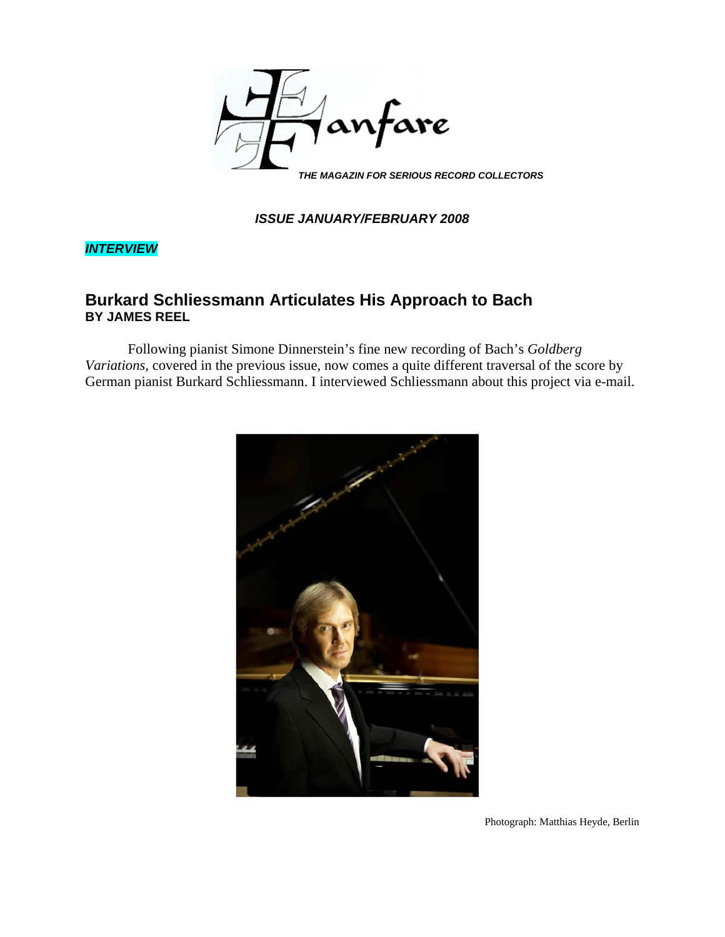

*ISSUE JANUARY/FEBRUARY 2008*

*INTERVIEW*

# **Burkard Schliessmann Articulates His Approach to Bach BY JAMES REEL**

Following pianist Simone Dinnerstein's fine new recording of Bach's *Goldberg Variations*, covered in the previous issue, now comes a quite different traversal of the score by German pianist Burkard Schliessmann. I interviewed Schliessmann about this project via e-mail.



Photograph: Matthias Heyde, Berlin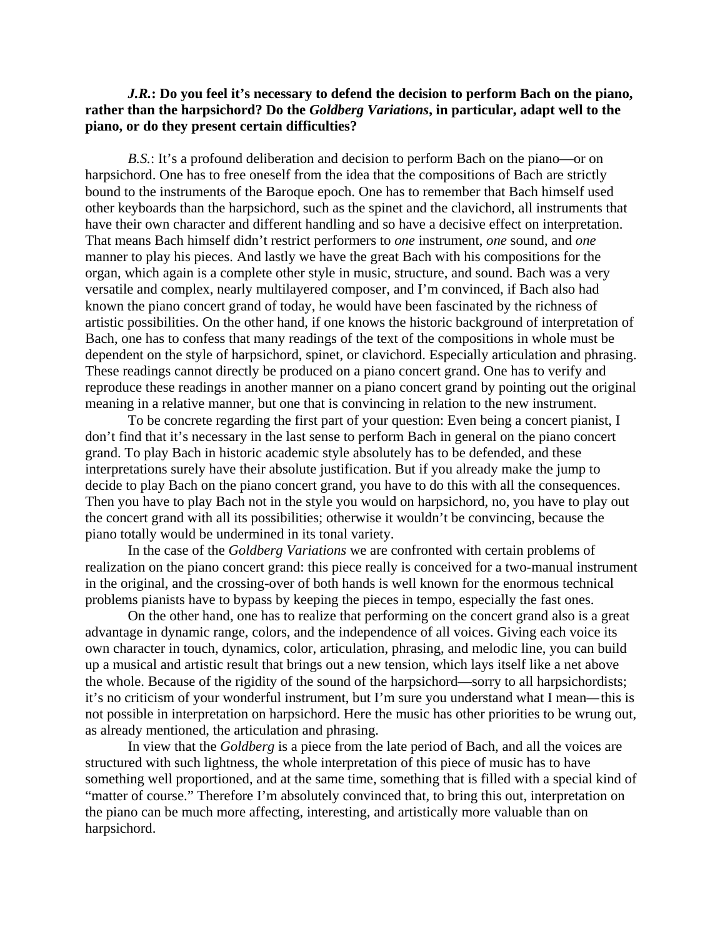## *J.R.***: Do you feel it's necessary to defend the decision to perform Bach on the piano, rather than the harpsichord? Do the** *Goldberg Variations***, in particular, adapt well to the piano, or do they present certain difficulties?**

*B.S.*: It's a profound deliberation and decision to perform Bach on the piano—or on harpsichord. One has to free oneself from the idea that the compositions of Bach are strictly bound to the instruments of the Baroque epoch. One has to remember that Bach himself used other keyboards than the harpsichord, such as the spinet and the clavichord, all instruments that have their own character and different handling and so have a decisive effect on interpretation. That means Bach himself didn't restrict performers to *one* instrument, *one* sound, and *one* manner to play his pieces. And lastly we have the great Bach with his compositions for the organ, which again is a complete other style in music, structure, and sound. Bach was a very versatile and complex, nearly multilayered composer, and I'm convinced, if Bach also had known the piano concert grand of today, he would have been fascinated by the richness of artistic possibilities. On the other hand, if one knows the historic background of interpretation of Bach, one has to confess that many readings of the text of the compositions in whole must be dependent on the style of harpsichord, spinet, or clavichord. Especially articulation and phrasing. These readings cannot directly be produced on a piano concert grand. One has to verify and reproduce these readings in another manner on a piano concert grand by pointing out the original meaning in a relative manner, but one that is convincing in relation to the new instrument.

To be concrete regarding the first part of your question: Even being a concert pianist, I don't find that it's necessary in the last sense to perform Bach in general on the piano concert grand. To play Bach in historic academic style absolutely has to be defended, and these interpretations surely have their absolute justification. But if you already make the jump to decide to play Bach on the piano concert grand, you have to do this with all the consequences. Then you have to play Bach not in the style you would on harpsichord, no, you have to play out the concert grand with all its possibilities; otherwise it wouldn't be convincing, because the piano totally would be undermined in its tonal variety.

In the case of the *Goldberg Variations* we are confronted with certain problems of realization on the piano concert grand: this piece really is conceived for a two-manual instrument in the original, and the crossing-over of both hands is well known for the enormous technical problems pianists have to bypass by keeping the pieces in tempo, especially the fast ones.

On the other hand, one has to realize that performing on the concert grand also is a great advantage in dynamic range, colors, and the independence of all voices. Giving each voice its own character in touch, dynamics, color, articulation, phrasing, and melodic line, you can build up a musical and artistic result that brings out a new tension, which lays itself like a net above the whole. Because of the rigidity of the sound of the harpsichord—sorry to all harpsichordists; it's no criticism of your wonderful instrument, but I'm sure you understand what I mean*—*this is not possible in interpretation on harpsichord. Here the music has other priorities to be wrung out, as already mentioned, the articulation and phrasing.

In view that the *Goldberg* is a piece from the late period of Bach, and all the voices are structured with such lightness, the whole interpretation of this piece of music has to have something well proportioned, and at the same time, something that is filled with a special kind of "matter of course." Therefore I'm absolutely convinced that, to bring this out, interpretation on the piano can be much more affecting, interesting, and artistically more valuable than on harpsichord.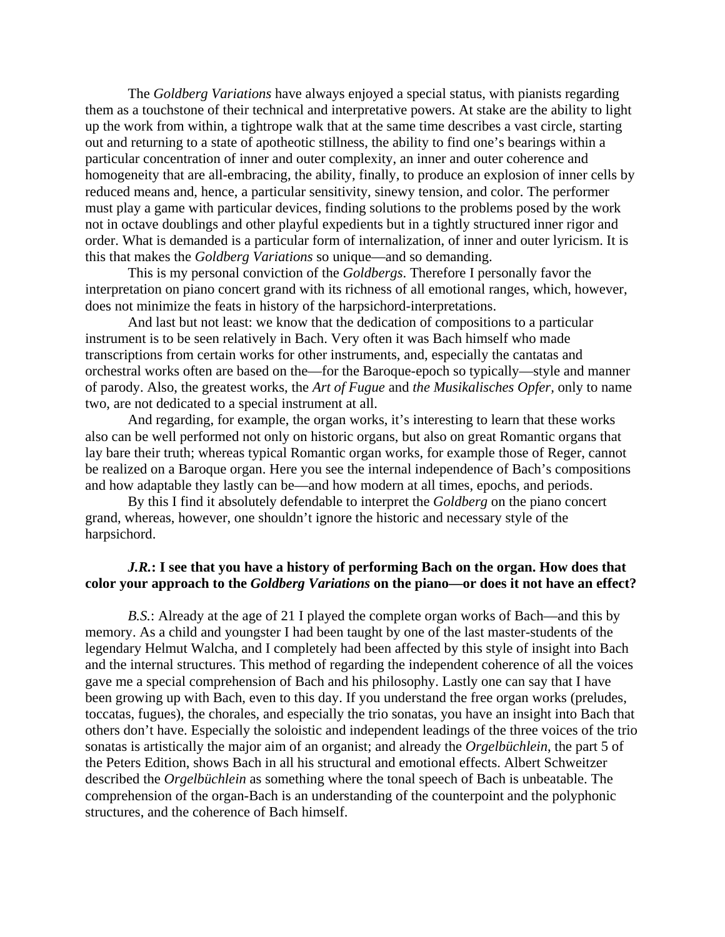The *Goldberg Variations* have always enjoyed a special status, with pianists regarding them as a touchstone of their technical and interpretative powers. At stake are the ability to light up the work from within, a tightrope walk that at the same time describes a vast circle, starting out and returning to a state of apotheotic stillness, the ability to find one's bearings within a particular concentration of inner and outer complexity, an inner and outer coherence and homogeneity that are all-embracing, the ability, finally, to produce an explosion of inner cells by reduced means and, hence, a particular sensitivity, sinewy tension, and color. The performer must play a game with particular devices, finding solutions to the problems posed by the work not in octave doublings and other playful expedients but in a tightly structured inner rigor and order. What is demanded is a particular form of internalization, of inner and outer lyricism. It is this that makes the *Goldberg Variations* so unique—and so demanding.

This is my personal conviction of the *Goldbergs*. Therefore I personally favor the interpretation on piano concert grand with its richness of all emotional ranges, which, however, does not minimize the feats in history of the harpsichord-interpretations.

And last but not least: we know that the dedication of compositions to a particular instrument is to be seen relatively in Bach. Very often it was Bach himself who made transcriptions from certain works for other instruments, and, especially the cantatas and orchestral works often are based on the—for the Baroque-epoch so typically—style and manner of parody. Also, the greatest works, the *Art of Fugue* and *the Musikalisches Opfer,* only to name two, are not dedicated to a special instrument at all.

And regarding, for example, the organ works, it's interesting to learn that these works also can be well performed not only on historic organs, but also on great Romantic organs that lay bare their truth; whereas typical Romantic organ works, for example those of Reger, cannot be realized on a Baroque organ. Here you see the internal independence of Bach's compositions and how adaptable they lastly can be—and how modern at all times, epochs, and periods.

By this I find it absolutely defendable to interpret the *Goldberg* on the piano concert grand, whereas, however, one shouldn't ignore the historic and necessary style of the harpsichord.

#### *J.R.***: I see that you have a history of performing Bach on the organ. How does that color your approach to the** *Goldberg Variations* **on the piano—or does it not have an effect?**

*B.S.*: Already at the age of 21 I played the complete organ works of Bach—and this by memory. As a child and youngster I had been taught by one of the last master-students of the legendary Helmut Walcha, and I completely had been affected by this style of insight into Bach and the internal structures. This method of regarding the independent coherence of all the voices gave me a special comprehension of Bach and his philosophy. Lastly one can say that I have been growing up with Bach, even to this day. If you understand the free organ works (preludes, toccatas, fugues), the chorales, and especially the trio sonatas, you have an insight into Bach that others don't have. Especially the soloistic and independent leadings of the three voices of the trio sonatas is artistically the major aim of an organist; and already the *Orgelbüchlein*, the part 5 of the Peters Edition, shows Bach in all his structural and emotional effects. Albert Schweitzer described the *Orgelbüchlein* as something where the tonal speech of Bach is unbeatable. The comprehension of the organ-Bach is an understanding of the counterpoint and the polyphonic structures, and the coherence of Bach himself.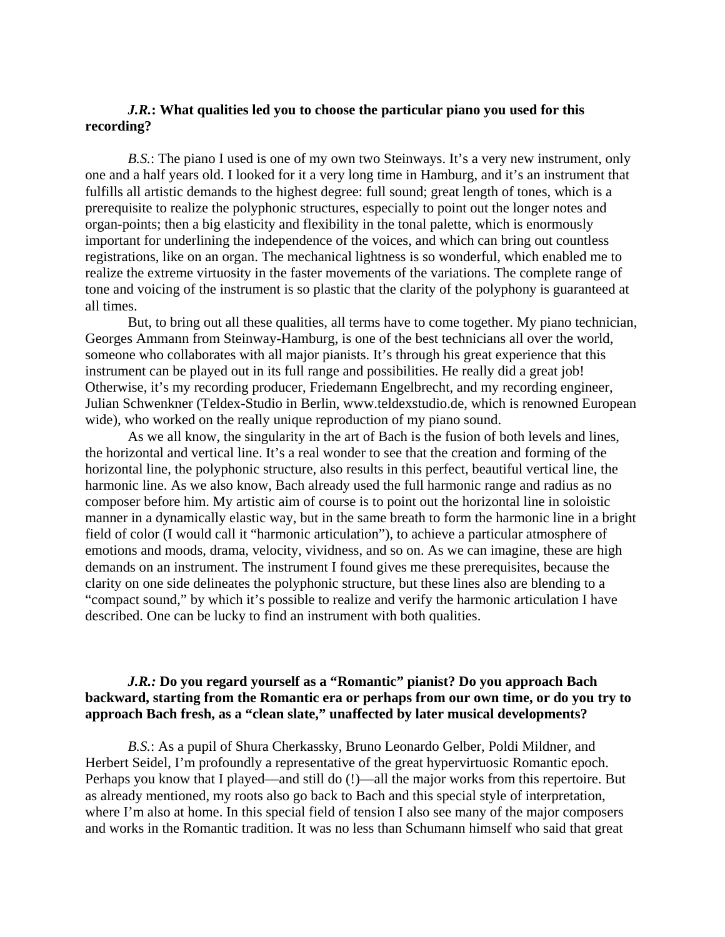## *J.R.***: What qualities led you to choose the particular piano you used for this recording?**

*B.S.*: The piano I used is one of my own two Steinways. It's a very new instrument, only one and a half years old. I looked for it a very long time in Hamburg, and it's an instrument that fulfills all artistic demands to the highest degree: full sound; great length of tones, which is a prerequisite to realize the polyphonic structures, especially to point out the longer notes and organ-points; then a big elasticity and flexibility in the tonal palette, which is enormously important for underlining the independence of the voices, and which can bring out countless registrations, like on an organ. The mechanical lightness is so wonderful, which enabled me to realize the extreme virtuosity in the faster movements of the variations. The complete range of tone and voicing of the instrument is so plastic that the clarity of the polyphony is guaranteed at all times.

But, to bring out all these qualities, all terms have to come together. My piano technician, Georges Ammann from Steinway-Hamburg, is one of the best technicians all over the world, someone who collaborates with all major pianists. It's through his great experience that this instrument can be played out in its full range and possibilities. He really did a great job! Otherwise, it's my recording producer, Friedemann Engelbrecht, and my recording engineer, Julian Schwenkner (Teldex-Studio in Berlin, www.teldexstudio.de, which is renowned European wide), who worked on the really unique reproduction of my piano sound.

As we all know, the singularity in the art of Bach is the fusion of both levels and lines, the horizontal and vertical line. It's a real wonder to see that the creation and forming of the horizontal line, the polyphonic structure, also results in this perfect, beautiful vertical line, the harmonic line. As we also know, Bach already used the full harmonic range and radius as no composer before him. My artistic aim of course is to point out the horizontal line in soloistic manner in a dynamically elastic way, but in the same breath to form the harmonic line in a bright field of color (I would call it "harmonic articulation"), to achieve a particular atmosphere of emotions and moods, drama, velocity, vividness, and so on. As we can imagine, these are high demands on an instrument. The instrument I found gives me these prerequisites, because the clarity on one side delineates the polyphonic structure, but these lines also are blending to a "compact sound," by which it's possible to realize and verify the harmonic articulation I have described. One can be lucky to find an instrument with both qualities.

#### *J.R.:* **Do you regard yourself as a "Romantic" pianist? Do you approach Bach backward, starting from the Romantic era or perhaps from our own time, or do you try to approach Bach fresh, as a "clean slate," unaffected by later musical developments?**

*B.S.*: As a pupil of Shura Cherkassky, Bruno Leonardo Gelber, Poldi Mildner, and Herbert Seidel, I'm profoundly a representative of the great hypervirtuosic Romantic epoch. Perhaps you know that I played—and still do (!)—all the major works from this repertoire. But as already mentioned, my roots also go back to Bach and this special style of interpretation, where I'm also at home. In this special field of tension I also see many of the major composers and works in the Romantic tradition. It was no less than Schumann himself who said that great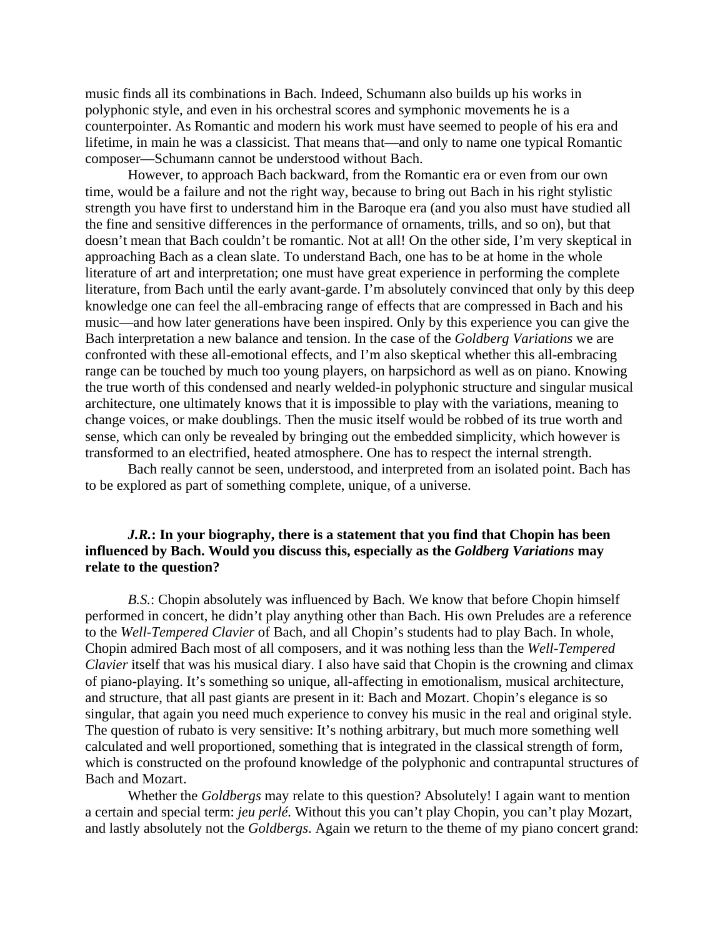music finds all its combinations in Bach. Indeed, Schumann also builds up his works in polyphonic style, and even in his orchestral scores and symphonic movements he is a counterpointer. As Romantic and modern his work must have seemed to people of his era and lifetime, in main he was a classicist. That means that—and only to name one typical Romantic composer—Schumann cannot be understood without Bach.

However, to approach Bach backward, from the Romantic era or even from our own time, would be a failure and not the right way, because to bring out Bach in his right stylistic strength you have first to understand him in the Baroque era (and you also must have studied all the fine and sensitive differences in the performance of ornaments, trills, and so on), but that doesn't mean that Bach couldn't be romantic. Not at all! On the other side, I'm very skeptical in approaching Bach as a clean slate. To understand Bach, one has to be at home in the whole literature of art and interpretation; one must have great experience in performing the complete literature, from Bach until the early avant-garde. I'm absolutely convinced that only by this deep knowledge one can feel the all-embracing range of effects that are compressed in Bach and his music—and how later generations have been inspired. Only by this experience you can give the Bach interpretation a new balance and tension. In the case of the *Goldberg Variations* we are confronted with these all-emotional effects, and I'm also skeptical whether this all-embracing range can be touched by much too young players, on harpsichord as well as on piano. Knowing the true worth of this condensed and nearly welded-in polyphonic structure and singular musical architecture, one ultimately knows that it is impossible to play with the variations, meaning to change voices, or make doublings. Then the music itself would be robbed of its true worth and sense, which can only be revealed by bringing out the embedded simplicity, which however is transformed to an electrified, heated atmosphere. One has to respect the internal strength.

Bach really cannot be seen, understood, and interpreted from an isolated point. Bach has to be explored as part of something complete, unique, of a universe.

# *J.R.***: In your biography, there is a statement that you find that Chopin has been influenced by Bach. Would you discuss this, especially as the** *Goldberg Variations* **may relate to the question?**

*B.S.*: Chopin absolutely was influenced by Bach. We know that before Chopin himself performed in concert, he didn't play anything other than Bach. His own Preludes are a reference to the *Well-Tempered Clavier* of Bach, and all Chopin's students had to play Bach. In whole, Chopin admired Bach most of all composers, and it was nothing less than the *Well-Tempered Clavier* itself that was his musical diary. I also have said that Chopin is the crowning and climax of piano-playing. It's something so unique, all-affecting in emotionalism, musical architecture, and structure, that all past giants are present in it: Bach and Mozart. Chopin's elegance is so singular, that again you need much experience to convey his music in the real and original style. The question of rubato is very sensitive: It's nothing arbitrary, but much more something well calculated and well proportioned, something that is integrated in the classical strength of form, which is constructed on the profound knowledge of the polyphonic and contrapuntal structures of Bach and Mozart.

Whether the *Goldbergs* may relate to this question? Absolutely! I again want to mention a certain and special term: *jeu perlé.* Without this you can't play Chopin, you can't play Mozart, and lastly absolutely not the *Goldbergs*. Again we return to the theme of my piano concert grand: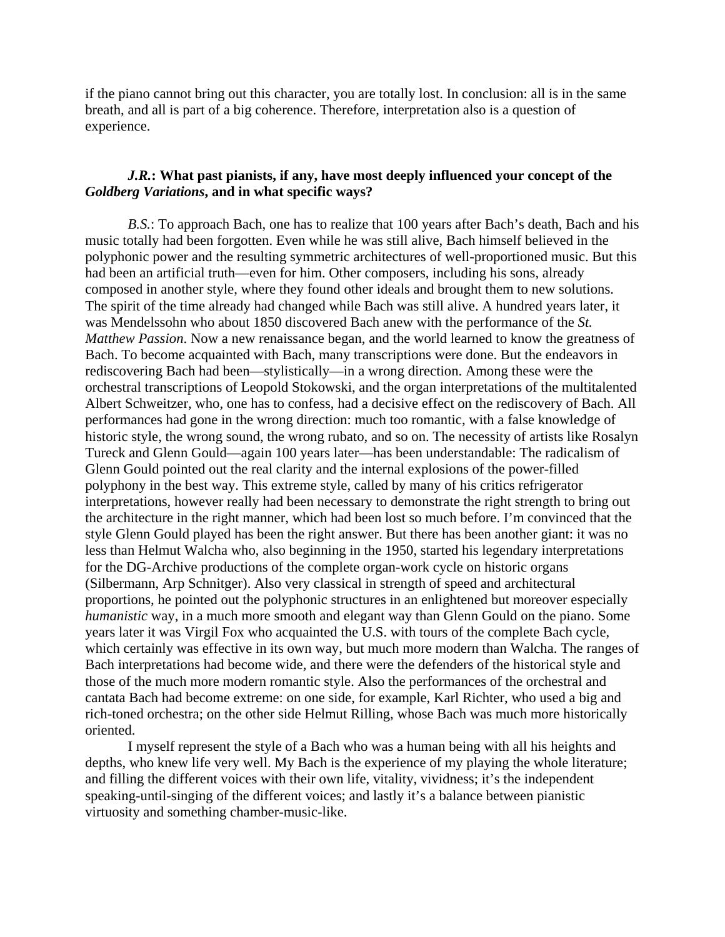if the piano cannot bring out this character, you are totally lost. In conclusion: all is in the same breath, and all is part of a big coherence. Therefore, interpretation also is a question of experience.

# *J.R.***: What past pianists, if any, have most deeply influenced your concept of the** *Goldberg Variations***, and in what specific ways?**

*B.S.*: To approach Bach, one has to realize that 100 years after Bach's death, Bach and his music totally had been forgotten. Even while he was still alive, Bach himself believed in the polyphonic power and the resulting symmetric architectures of well-proportioned music. But this had been an artificial truth—even for him. Other composers, including his sons, already composed in another style, where they found other ideals and brought them to new solutions. The spirit of the time already had changed while Bach was still alive. A hundred years later, it was Mendelssohn who about 1850 discovered Bach anew with the performance of the *St. Matthew Passion*. Now a new renaissance began, and the world learned to know the greatness of Bach. To become acquainted with Bach, many transcriptions were done. But the endeavors in rediscovering Bach had been—stylistically—in a wrong direction. Among these were the orchestral transcriptions of Leopold Stokowski, and the organ interpretations of the multitalented Albert Schweitzer, who, one has to confess, had a decisive effect on the rediscovery of Bach. All performances had gone in the wrong direction: much too romantic, with a false knowledge of historic style, the wrong sound, the wrong rubato, and so on. The necessity of artists like Rosalyn Tureck and Glenn Gould—again 100 years later—has been understandable: The radicalism of Glenn Gould pointed out the real clarity and the internal explosions of the power-filled polyphony in the best way. This extreme style, called by many of his critics refrigerator interpretations, however really had been necessary to demonstrate the right strength to bring out the architecture in the right manner, which had been lost so much before. I'm convinced that the style Glenn Gould played has been the right answer. But there has been another giant: it was no less than Helmut Walcha who, also beginning in the 1950, started his legendary interpretations for the DG-Archive productions of the complete organ-work cycle on historic organs (Silbermann, Arp Schnitger). Also very classical in strength of speed and architectural proportions, he pointed out the polyphonic structures in an enlightened but moreover especially *humanistic* way, in a much more smooth and elegant way than Glenn Gould on the piano. Some years later it was Virgil Fox who acquainted the U.S. with tours of the complete Bach cycle, which certainly was effective in its own way, but much more modern than Walcha. The ranges of Bach interpretations had become wide, and there were the defenders of the historical style and those of the much more modern romantic style. Also the performances of the orchestral and cantata Bach had become extreme: on one side, for example, Karl Richter, who used a big and rich-toned orchestra; on the other side Helmut Rilling, whose Bach was much more historically oriented.

I myself represent the style of a Bach who was a human being with all his heights and depths, who knew life very well. My Bach is the experience of my playing the whole literature; and filling the different voices with their own life, vitality, vividness; it's the independent speaking-until-singing of the different voices; and lastly it's a balance between pianistic virtuosity and something chamber-music-like.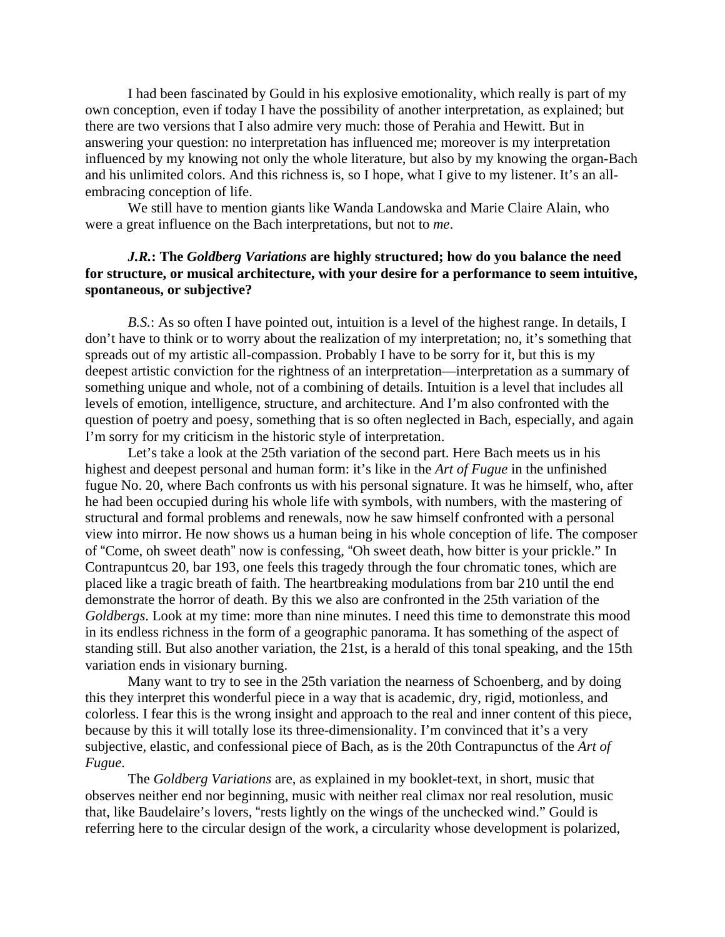I had been fascinated by Gould in his explosive emotionality, which really is part of my own conception, even if today I have the possibility of another interpretation, as explained; but there are two versions that I also admire very much: those of Perahia and Hewitt. But in answering your question: no interpretation has influenced me; moreover is my interpretation influenced by my knowing not only the whole literature, but also by my knowing the organ-Bach and his unlimited colors. And this richness is, so I hope, what I give to my listener. It's an allembracing conception of life.

We still have to mention giants like Wanda Landowska and Marie Claire Alain, who were a great influence on the Bach interpretations, but not to *me*.

# *J.R.***: The** *Goldberg Variations* **are highly structured; how do you balance the need for structure, or musical architecture, with your desire for a performance to seem intuitive, spontaneous, or subjective?**

*B.S.*: As so often I have pointed out, intuition is a level of the highest range. In details, I don't have to think or to worry about the realization of my interpretation; no, it's something that spreads out of my artistic all-compassion. Probably I have to be sorry for it, but this is my deepest artistic conviction for the rightness of an interpretation—interpretation as a summary of something unique and whole, not of a combining of details. Intuition is a level that includes all levels of emotion, intelligence, structure, and architecture. And I'm also confronted with the question of poetry and poesy, something that is so often neglected in Bach, especially, and again I'm sorry for my criticism in the historic style of interpretation.

Let's take a look at the 25th variation of the second part. Here Bach meets us in his highest and deepest personal and human form: it's like in the *Art of Fugue* in the unfinished fugue No. 20, where Bach confronts us with his personal signature. It was he himself, who, after he had been occupied during his whole life with symbols, with numbers, with the mastering of structural and formal problems and renewals, now he saw himself confronted with a personal view into mirror. He now shows us a human being in his whole conception of life. The composer of "Come, oh sweet death" now is confessing, "Oh sweet death, how bitter is your prickle." In Contrapuntcus 20, bar 193, one feels this tragedy through the four chromatic tones, which are placed like a tragic breath of faith. The heartbreaking modulations from bar 210 until the end demonstrate the horror of death. By this we also are confronted in the 25th variation of the *Goldbergs*. Look at my time: more than nine minutes. I need this time to demonstrate this mood in its endless richness in the form of a geographic panorama. It has something of the aspect of standing still. But also another variation, the 21st, is a herald of this tonal speaking, and the 15th variation ends in visionary burning.

Many want to try to see in the 25th variation the nearness of Schoenberg, and by doing this they interpret this wonderful piece in a way that is academic, dry, rigid, motionless, and colorless. I fear this is the wrong insight and approach to the real and inner content of this piece, because by this it will totally lose its three-dimensionality. I'm convinced that it's a very subjective, elastic, and confessional piece of Bach, as is the 20th Contrapunctus of the *Art of Fugue*.

The *Goldberg Variations* are, as explained in my booklet-text, in short, music that observes neither end nor beginning, music with neither real climax nor real resolution, music that, like Baudelaire's lovers, "rests lightly on the wings of the unchecked wind." Gould is referring here to the circular design of the work, a circularity whose development is polarized,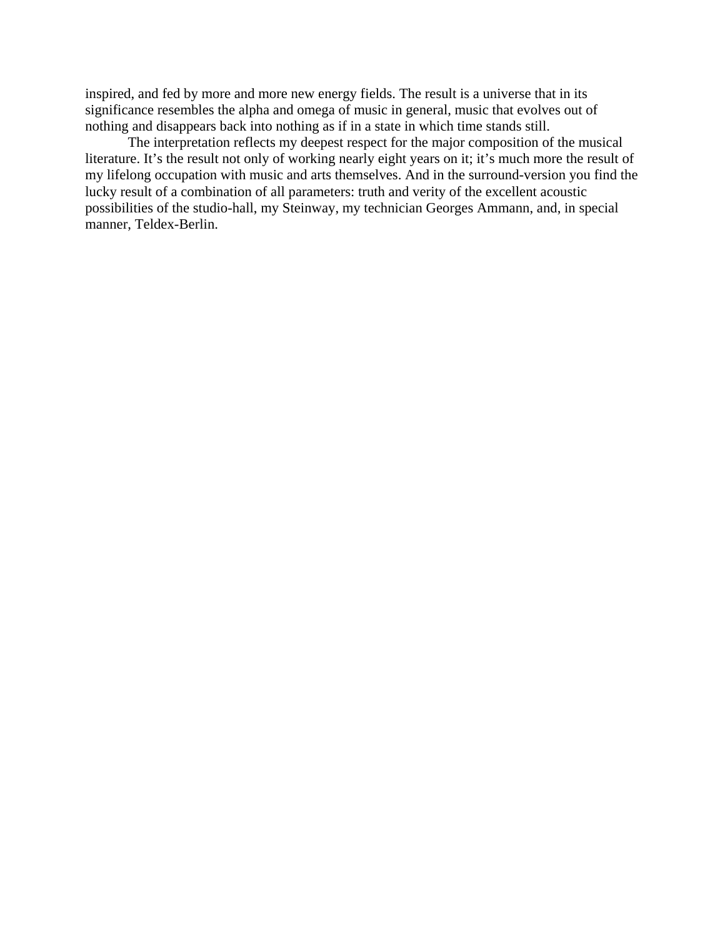inspired, and fed by more and more new energy fields. The result is a universe that in its significance resembles the alpha and omega of music in general, music that evolves out of nothing and disappears back into nothing as if in a state in which time stands still.

The interpretation reflects my deepest respect for the major composition of the musical literature. It's the result not only of working nearly eight years on it; it's much more the result of my lifelong occupation with music and arts themselves. And in the surround-version you find the lucky result of a combination of all parameters: truth and verity of the excellent acoustic possibilities of the studio-hall, my Steinway, my technician Georges Ammann, and, in special manner, Teldex-Berlin.